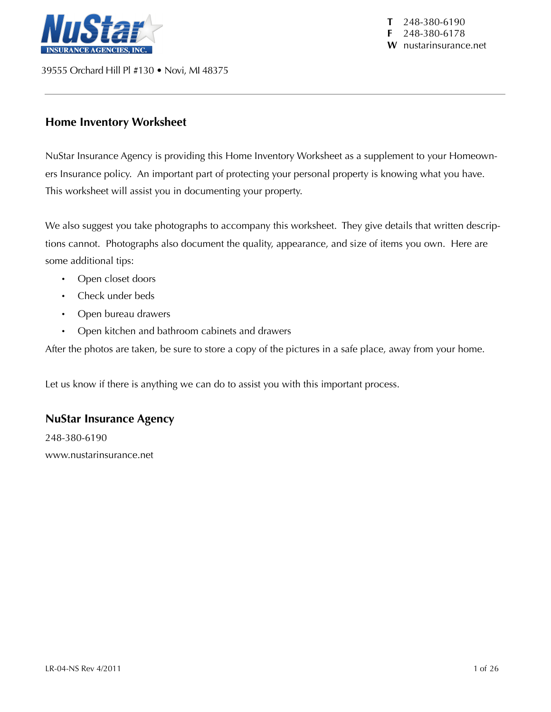

39555 Orchard Hill Pl #130 • Novi, MI 48375

**T** 248-380-6190 **F** 248-380-6178 **W** nustarinsurance.net

### **Home Inventory Worksheet**

NuStar Insurance Agency is providing this Home Inventory Worksheet as a supplement to your Homeowners Insurance policy. An important part of protecting your personal property is knowing what you have. This worksheet will assist you in documenting your property.

We also suggest you take photographs to accompany this worksheet. They give details that written descriptions cannot. Photographs also document the quality, appearance, and size of items you own. Here are some additional tips:

- Open closet doors
- Check under beds
- Open bureau drawers
- Open kitchen and bathroom cabinets and drawers

After the photos are taken, be sure to store a copy of the pictures in a safe place, away from your home.

Let us know if there is anything we can do to assist you with this important process.

### **NuStar Insurance Agency**

248-380-6190 www.nustarinsurance.net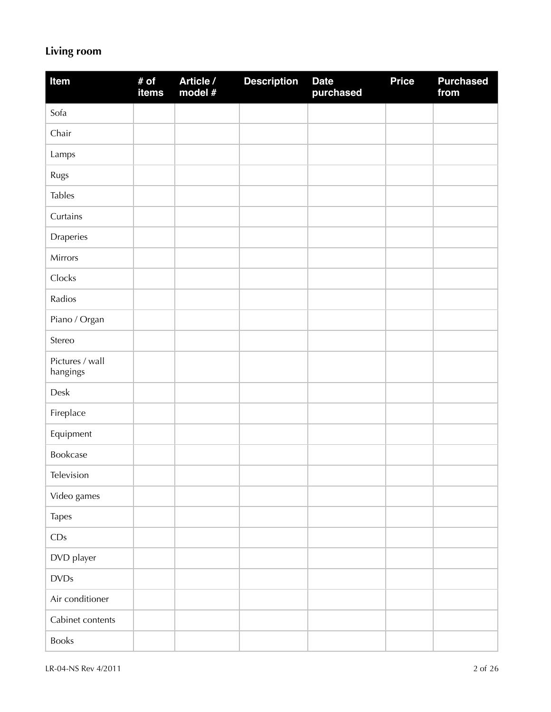# **Living room**

| Item                        | # of<br>items | Article /<br>model # | <b>Description</b> | <b>Date</b><br>purchased | <b>Price</b> | <b>Purchased</b><br>from |
|-----------------------------|---------------|----------------------|--------------------|--------------------------|--------------|--------------------------|
| Sofa                        |               |                      |                    |                          |              |                          |
| Chair                       |               |                      |                    |                          |              |                          |
| Lamps                       |               |                      |                    |                          |              |                          |
| Rugs                        |               |                      |                    |                          |              |                          |
| <b>Tables</b>               |               |                      |                    |                          |              |                          |
| Curtains                    |               |                      |                    |                          |              |                          |
| Draperies                   |               |                      |                    |                          |              |                          |
| Mirrors                     |               |                      |                    |                          |              |                          |
| Clocks                      |               |                      |                    |                          |              |                          |
| Radios                      |               |                      |                    |                          |              |                          |
| Piano / Organ               |               |                      |                    |                          |              |                          |
| Stereo                      |               |                      |                    |                          |              |                          |
| Pictures / wall<br>hangings |               |                      |                    |                          |              |                          |
| Desk                        |               |                      |                    |                          |              |                          |
| Fireplace                   |               |                      |                    |                          |              |                          |
| Equipment                   |               |                      |                    |                          |              |                          |
| Bookcase                    |               |                      |                    |                          |              |                          |
| Television                  |               |                      |                    |                          |              |                          |
| Video games                 |               |                      |                    |                          |              |                          |
| Tapes                       |               |                      |                    |                          |              |                          |
| CDs                         |               |                      |                    |                          |              |                          |
| DVD player                  |               |                      |                    |                          |              |                          |
| <b>DVDs</b>                 |               |                      |                    |                          |              |                          |
| Air conditioner             |               |                      |                    |                          |              |                          |
| Cabinet contents            |               |                      |                    |                          |              |                          |
| Books                       |               |                      |                    |                          |              |                          |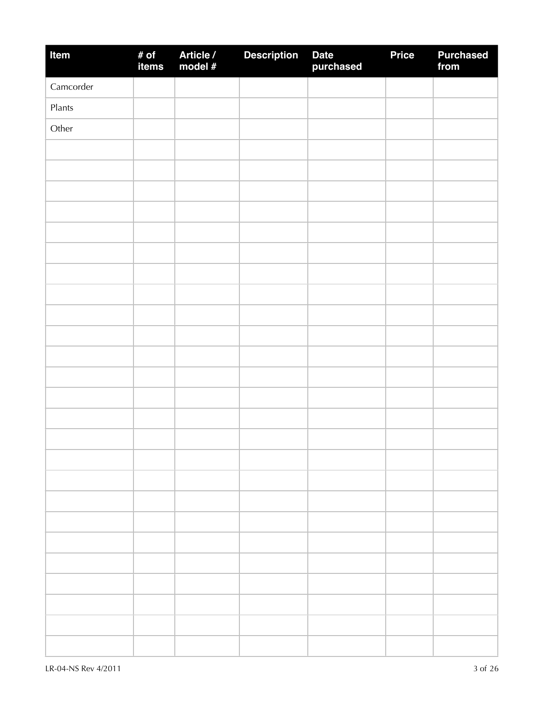| Item      | # of<br>items | Article /<br>model # | <b>Description</b> | Date<br>purchased | <b>Price</b> | <b>Purchased</b><br>from |
|-----------|---------------|----------------------|--------------------|-------------------|--------------|--------------------------|
| Camcorder |               |                      |                    |                   |              |                          |
| Plants    |               |                      |                    |                   |              |                          |
| Other     |               |                      |                    |                   |              |                          |
|           |               |                      |                    |                   |              |                          |
|           |               |                      |                    |                   |              |                          |
|           |               |                      |                    |                   |              |                          |
|           |               |                      |                    |                   |              |                          |
|           |               |                      |                    |                   |              |                          |
|           |               |                      |                    |                   |              |                          |
|           |               |                      |                    |                   |              |                          |
|           |               |                      |                    |                   |              |                          |
|           |               |                      |                    |                   |              |                          |
|           |               |                      |                    |                   |              |                          |
|           |               |                      |                    |                   |              |                          |
|           |               |                      |                    |                   |              |                          |
|           |               |                      |                    |                   |              |                          |
|           |               |                      |                    |                   |              |                          |
|           |               |                      |                    |                   |              |                          |
|           |               |                      |                    |                   |              |                          |
|           |               |                      |                    |                   |              |                          |
|           |               |                      |                    |                   |              |                          |
|           |               |                      |                    |                   |              |                          |
|           |               |                      |                    |                   |              |                          |
|           |               |                      |                    |                   |              |                          |
|           |               |                      |                    |                   |              |                          |
|           |               |                      |                    |                   |              |                          |
|           |               |                      |                    |                   |              |                          |
|           |               |                      |                    |                   |              |                          |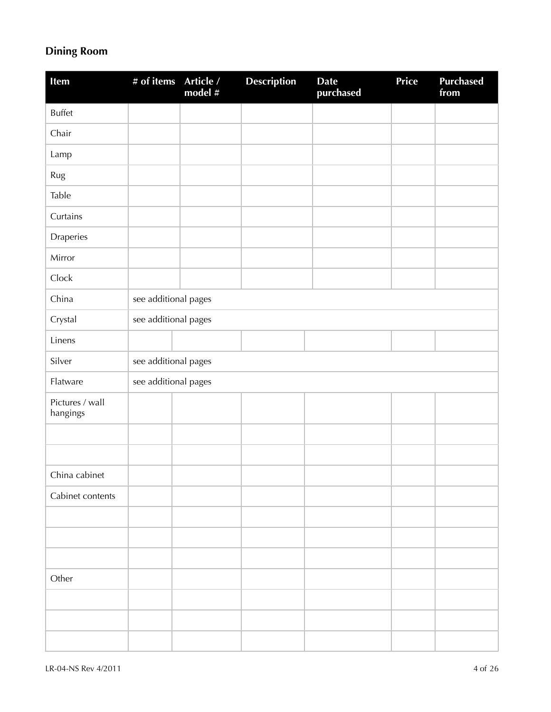# **Dining Room**

| <b>Item</b>                 | # of items           | Article /<br>model # | <b>Description</b> | <b>Date</b><br>purchased | Price | <b>Purchased</b><br>from |
|-----------------------------|----------------------|----------------------|--------------------|--------------------------|-------|--------------------------|
| <b>Buffet</b>               |                      |                      |                    |                          |       |                          |
| Chair                       |                      |                      |                    |                          |       |                          |
| Lamp                        |                      |                      |                    |                          |       |                          |
| Rug                         |                      |                      |                    |                          |       |                          |
| Table                       |                      |                      |                    |                          |       |                          |
| Curtains                    |                      |                      |                    |                          |       |                          |
| Draperies                   |                      |                      |                    |                          |       |                          |
| Mirror                      |                      |                      |                    |                          |       |                          |
| Clock                       |                      |                      |                    |                          |       |                          |
| China                       | see additional pages |                      |                    |                          |       |                          |
| Crystal                     | see additional pages |                      |                    |                          |       |                          |
| Linens                      |                      |                      |                    |                          |       |                          |
| Silver                      | see additional pages |                      |                    |                          |       |                          |
| Flatware                    | see additional pages |                      |                    |                          |       |                          |
| Pictures / wall<br>hangings |                      |                      |                    |                          |       |                          |
|                             |                      |                      |                    |                          |       |                          |
|                             |                      |                      |                    |                          |       |                          |
| China cabinet               |                      |                      |                    |                          |       |                          |
| Cabinet contents            |                      |                      |                    |                          |       |                          |
|                             |                      |                      |                    |                          |       |                          |
|                             |                      |                      |                    |                          |       |                          |
|                             |                      |                      |                    |                          |       |                          |
| Other                       |                      |                      |                    |                          |       |                          |
|                             |                      |                      |                    |                          |       |                          |
|                             |                      |                      |                    |                          |       |                          |
|                             |                      |                      |                    |                          |       |                          |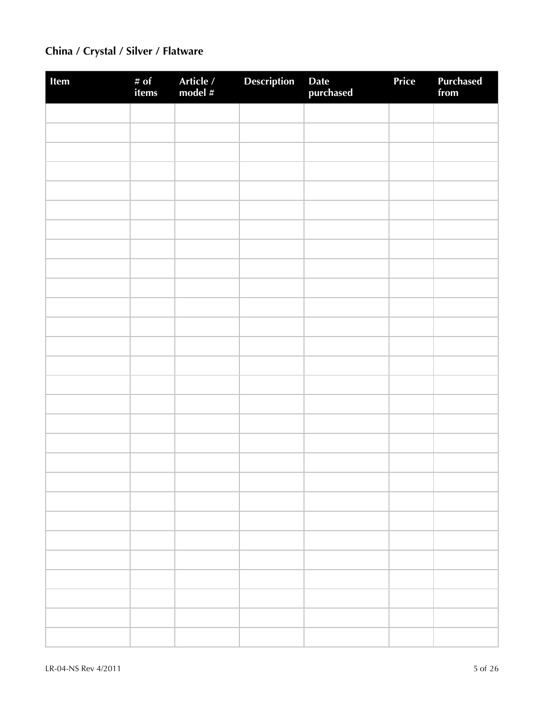# **China / Crystal / Silver / Flatware**

| Item | # of<br>items | Article /<br>model # | Description | Date<br>purchased | Price | <b>Purchased</b><br>from |
|------|---------------|----------------------|-------------|-------------------|-------|--------------------------|
|      |               |                      |             |                   |       |                          |
|      |               |                      |             |                   |       |                          |
|      |               |                      |             |                   |       |                          |
|      |               |                      |             |                   |       |                          |
|      |               |                      |             |                   |       |                          |
|      |               |                      |             |                   |       |                          |
|      |               |                      |             |                   |       |                          |
|      |               |                      |             |                   |       |                          |
|      |               |                      |             |                   |       |                          |
|      |               |                      |             |                   |       |                          |
|      |               |                      |             |                   |       |                          |
|      |               |                      |             |                   |       |                          |
|      |               |                      |             |                   |       |                          |
|      |               |                      |             |                   |       |                          |
|      |               |                      |             |                   |       |                          |
|      |               |                      |             |                   |       |                          |
|      |               |                      |             |                   |       |                          |
|      |               |                      |             |                   |       |                          |
|      |               |                      |             |                   |       |                          |
|      |               |                      |             |                   |       |                          |
|      |               |                      |             |                   |       |                          |
|      |               |                      |             |                   |       |                          |
|      |               |                      |             |                   |       |                          |
|      |               |                      |             |                   |       |                          |
|      |               |                      |             |                   |       |                          |
|      |               |                      |             |                   |       |                          |
|      |               |                      |             |                   |       |                          |
|      |               |                      |             |                   |       |                          |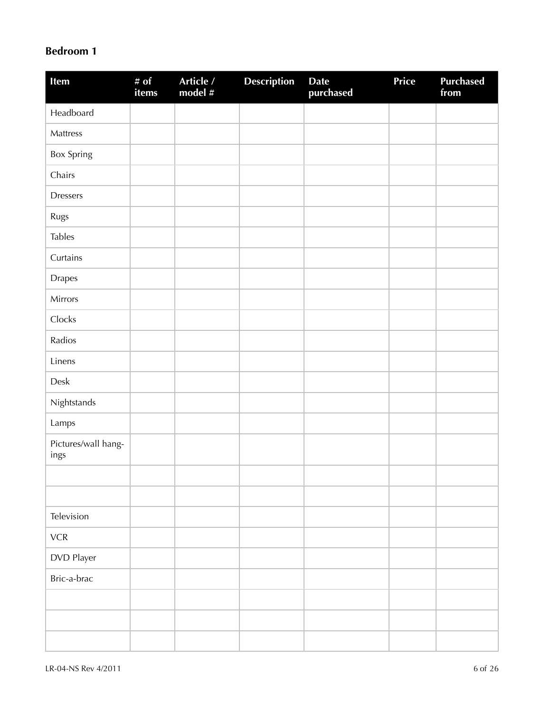### **Bedroom 1**

| Item                        | # of<br>items | Article /<br>model # | <b>Description</b> | <b>Date</b><br>purchased | <b>Price</b> | <b>Purchased</b><br>from |
|-----------------------------|---------------|----------------------|--------------------|--------------------------|--------------|--------------------------|
| Headboard                   |               |                      |                    |                          |              |                          |
| Mattress                    |               |                      |                    |                          |              |                          |
| <b>Box Spring</b>           |               |                      |                    |                          |              |                          |
| Chairs                      |               |                      |                    |                          |              |                          |
| <b>Dressers</b>             |               |                      |                    |                          |              |                          |
| Rugs                        |               |                      |                    |                          |              |                          |
| <b>Tables</b>               |               |                      |                    |                          |              |                          |
| Curtains                    |               |                      |                    |                          |              |                          |
| <b>Drapes</b>               |               |                      |                    |                          |              |                          |
| Mirrors                     |               |                      |                    |                          |              |                          |
| Clocks                      |               |                      |                    |                          |              |                          |
| Radios                      |               |                      |                    |                          |              |                          |
| Linens                      |               |                      |                    |                          |              |                          |
| Desk                        |               |                      |                    |                          |              |                          |
| Nightstands                 |               |                      |                    |                          |              |                          |
| Lamps                       |               |                      |                    |                          |              |                          |
| Pictures/wall hang-<br>ings |               |                      |                    |                          |              |                          |
|                             |               |                      |                    |                          |              |                          |
|                             |               |                      |                    |                          |              |                          |
| Television                  |               |                      |                    |                          |              |                          |
| ${\sf VCR}$                 |               |                      |                    |                          |              |                          |
| DVD Player                  |               |                      |                    |                          |              |                          |
| Bric-a-brac                 |               |                      |                    |                          |              |                          |
|                             |               |                      |                    |                          |              |                          |
|                             |               |                      |                    |                          |              |                          |
|                             |               |                      |                    |                          |              |                          |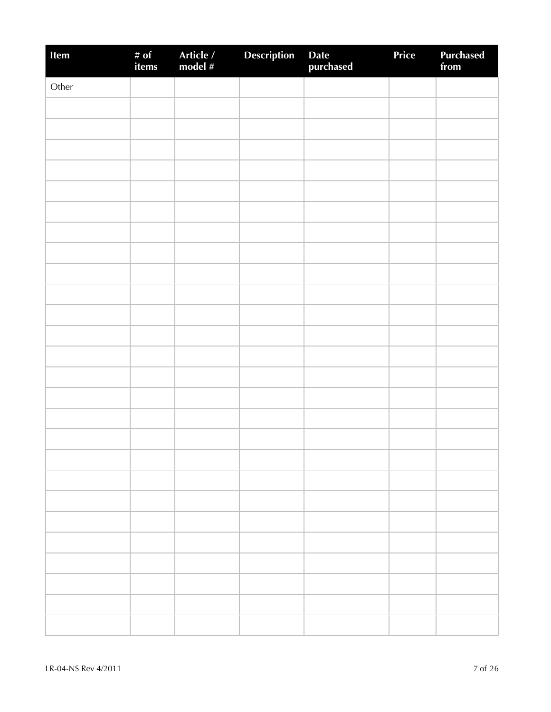| Item  | # of<br>items | Article /<br>model # | <b>Description</b> | Date<br>purchased | Price | Purchased<br>from |
|-------|---------------|----------------------|--------------------|-------------------|-------|-------------------|
| Other |               |                      |                    |                   |       |                   |
|       |               |                      |                    |                   |       |                   |
|       |               |                      |                    |                   |       |                   |
|       |               |                      |                    |                   |       |                   |
|       |               |                      |                    |                   |       |                   |
|       |               |                      |                    |                   |       |                   |
|       |               |                      |                    |                   |       |                   |
|       |               |                      |                    |                   |       |                   |
|       |               |                      |                    |                   |       |                   |
|       |               |                      |                    |                   |       |                   |
|       |               |                      |                    |                   |       |                   |
|       |               |                      |                    |                   |       |                   |
|       |               |                      |                    |                   |       |                   |
|       |               |                      |                    |                   |       |                   |
|       |               |                      |                    |                   |       |                   |
|       |               |                      |                    |                   |       |                   |
|       |               |                      |                    |                   |       |                   |
|       |               |                      |                    |                   |       |                   |
|       |               |                      |                    |                   |       |                   |
|       |               |                      |                    |                   |       |                   |
|       |               |                      |                    |                   |       |                   |
|       |               |                      |                    |                   |       |                   |
|       |               |                      |                    |                   |       |                   |
|       |               |                      |                    |                   |       |                   |
|       |               |                      |                    |                   |       |                   |
|       |               |                      |                    |                   |       |                   |
|       |               |                      |                    |                   |       |                   |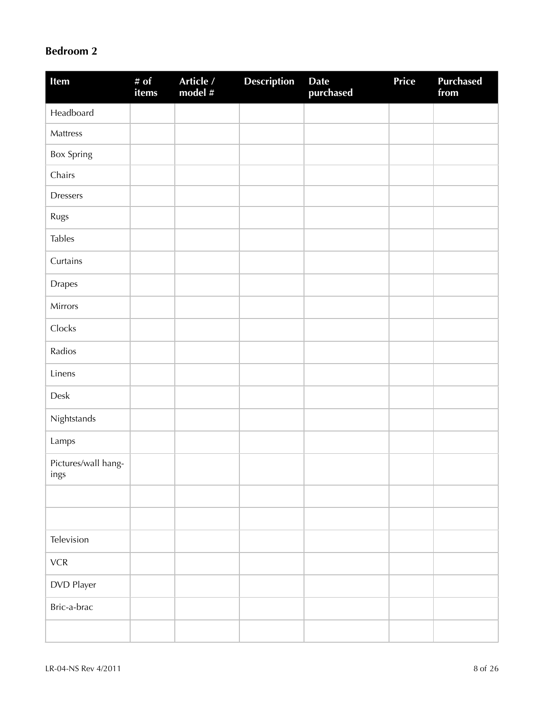### **Bedroom 2**

| Item                        | # of<br>items | Article /<br>model $#$ | <b>Description</b> | <b>Date</b><br>purchased | Price | <b>Purchased</b><br>from |
|-----------------------------|---------------|------------------------|--------------------|--------------------------|-------|--------------------------|
| Headboard                   |               |                        |                    |                          |       |                          |
| Mattress                    |               |                        |                    |                          |       |                          |
| Box Spring                  |               |                        |                    |                          |       |                          |
| Chairs                      |               |                        |                    |                          |       |                          |
| <b>Dressers</b>             |               |                        |                    |                          |       |                          |
| Rugs                        |               |                        |                    |                          |       |                          |
| <b>Tables</b>               |               |                        |                    |                          |       |                          |
| Curtains                    |               |                        |                    |                          |       |                          |
| <b>Drapes</b>               |               |                        |                    |                          |       |                          |
| Mirrors                     |               |                        |                    |                          |       |                          |
| Clocks                      |               |                        |                    |                          |       |                          |
| Radios                      |               |                        |                    |                          |       |                          |
| Linens                      |               |                        |                    |                          |       |                          |
| Desk                        |               |                        |                    |                          |       |                          |
| Nightstands                 |               |                        |                    |                          |       |                          |
| Lamps                       |               |                        |                    |                          |       |                          |
| Pictures/wall hang-<br>ings |               |                        |                    |                          |       |                          |
|                             |               |                        |                    |                          |       |                          |
|                             |               |                        |                    |                          |       |                          |
| Television                  |               |                        |                    |                          |       |                          |
| ${\sf VCR}$                 |               |                        |                    |                          |       |                          |
| DVD Player                  |               |                        |                    |                          |       |                          |
| Bric-a-brac                 |               |                        |                    |                          |       |                          |
|                             |               |                        |                    |                          |       |                          |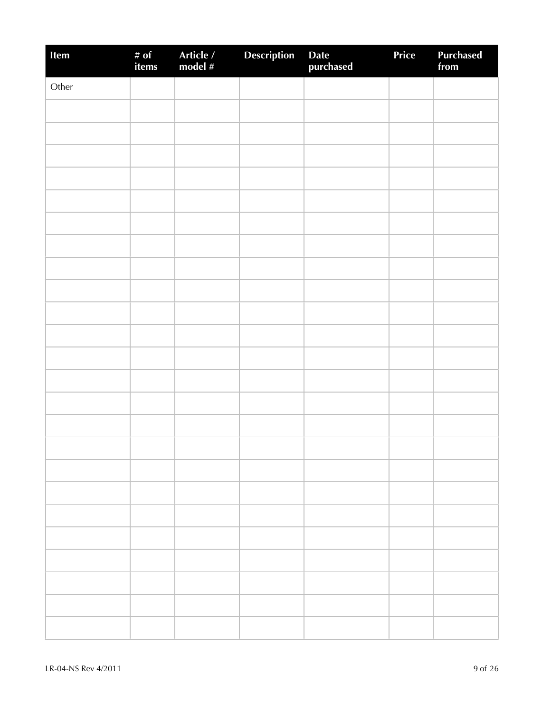| Item  | # of<br>items | Article /<br>model # | Description | Date<br>purchased | Price | <b>Purchased</b><br>from |
|-------|---------------|----------------------|-------------|-------------------|-------|--------------------------|
| Other |               |                      |             |                   |       |                          |
|       |               |                      |             |                   |       |                          |
|       |               |                      |             |                   |       |                          |
|       |               |                      |             |                   |       |                          |
|       |               |                      |             |                   |       |                          |
|       |               |                      |             |                   |       |                          |
|       |               |                      |             |                   |       |                          |
|       |               |                      |             |                   |       |                          |
|       |               |                      |             |                   |       |                          |
|       |               |                      |             |                   |       |                          |
|       |               |                      |             |                   |       |                          |
|       |               |                      |             |                   |       |                          |
|       |               |                      |             |                   |       |                          |
|       |               |                      |             |                   |       |                          |
|       |               |                      |             |                   |       |                          |
|       |               |                      |             |                   |       |                          |
|       |               |                      |             |                   |       |                          |
|       |               |                      |             |                   |       |                          |
|       |               |                      |             |                   |       |                          |
|       |               |                      |             |                   |       |                          |
|       |               |                      |             |                   |       |                          |
|       |               |                      |             |                   |       |                          |
|       |               |                      |             |                   |       |                          |
|       |               |                      |             |                   |       |                          |
|       |               |                      |             |                   |       |                          |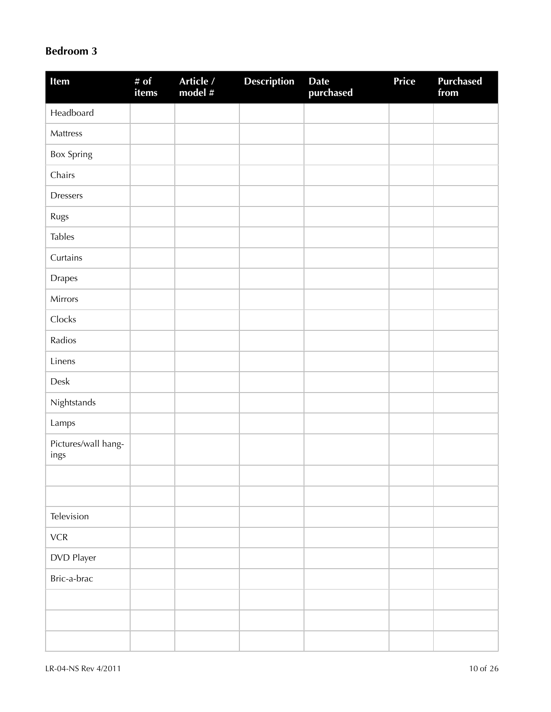#### **Bedroom 3**

| Item                        | # $of$<br>items | Article /<br>model # | <b>Description</b> | <b>Date</b><br>purchased | Price | <b>Purchased</b><br>from |
|-----------------------------|-----------------|----------------------|--------------------|--------------------------|-------|--------------------------|
| Headboard                   |                 |                      |                    |                          |       |                          |
| Mattress                    |                 |                      |                    |                          |       |                          |
| <b>Box Spring</b>           |                 |                      |                    |                          |       |                          |
| Chairs                      |                 |                      |                    |                          |       |                          |
| <b>Dressers</b>             |                 |                      |                    |                          |       |                          |
| Rugs                        |                 |                      |                    |                          |       |                          |
| <b>Tables</b>               |                 |                      |                    |                          |       |                          |
| Curtains                    |                 |                      |                    |                          |       |                          |
| <b>Drapes</b>               |                 |                      |                    |                          |       |                          |
| Mirrors                     |                 |                      |                    |                          |       |                          |
| Clocks                      |                 |                      |                    |                          |       |                          |
| Radios                      |                 |                      |                    |                          |       |                          |
| Linens                      |                 |                      |                    |                          |       |                          |
| Desk                        |                 |                      |                    |                          |       |                          |
| Nightstands                 |                 |                      |                    |                          |       |                          |
| Lamps                       |                 |                      |                    |                          |       |                          |
| Pictures/wall hang-<br>ings |                 |                      |                    |                          |       |                          |
|                             |                 |                      |                    |                          |       |                          |
|                             |                 |                      |                    |                          |       |                          |
| Television                  |                 |                      |                    |                          |       |                          |
| ${\sf VCR}$                 |                 |                      |                    |                          |       |                          |
| DVD Player                  |                 |                      |                    |                          |       |                          |
| Bric-a-brac                 |                 |                      |                    |                          |       |                          |
|                             |                 |                      |                    |                          |       |                          |
|                             |                 |                      |                    |                          |       |                          |
|                             |                 |                      |                    |                          |       |                          |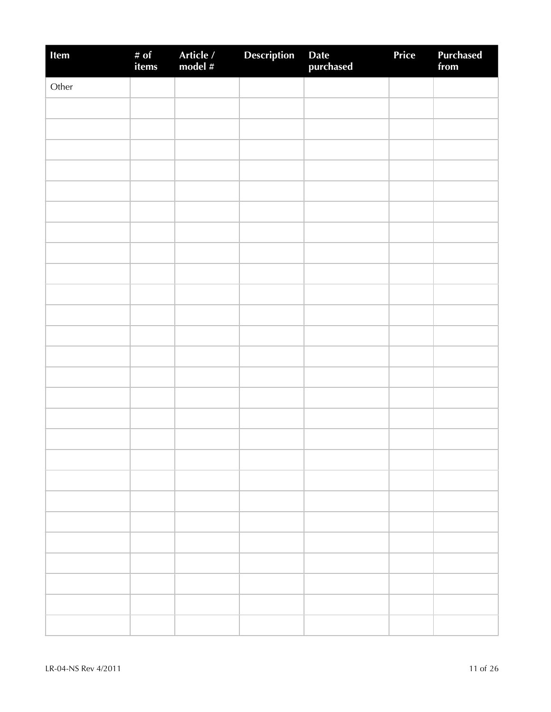| Item  | # of<br>items | Article /<br>model # | Description | Date<br>purchased | Price | Purchased<br>from |
|-------|---------------|----------------------|-------------|-------------------|-------|-------------------|
| Other |               |                      |             |                   |       |                   |
|       |               |                      |             |                   |       |                   |
|       |               |                      |             |                   |       |                   |
|       |               |                      |             |                   |       |                   |
|       |               |                      |             |                   |       |                   |
|       |               |                      |             |                   |       |                   |
|       |               |                      |             |                   |       |                   |
|       |               |                      |             |                   |       |                   |
|       |               |                      |             |                   |       |                   |
|       |               |                      |             |                   |       |                   |
|       |               |                      |             |                   |       |                   |
|       |               |                      |             |                   |       |                   |
|       |               |                      |             |                   |       |                   |
|       |               |                      |             |                   |       |                   |
|       |               |                      |             |                   |       |                   |
|       |               |                      |             |                   |       |                   |
|       |               |                      |             |                   |       |                   |
|       |               |                      |             |                   |       |                   |
|       |               |                      |             |                   |       |                   |
|       |               |                      |             |                   |       |                   |
|       |               |                      |             |                   |       |                   |
|       |               |                      |             |                   |       |                   |
|       |               |                      |             |                   |       |                   |
|       |               |                      |             |                   |       |                   |
|       |               |                      |             |                   |       |                   |
|       |               |                      |             |                   |       |                   |
|       |               |                      |             |                   |       |                   |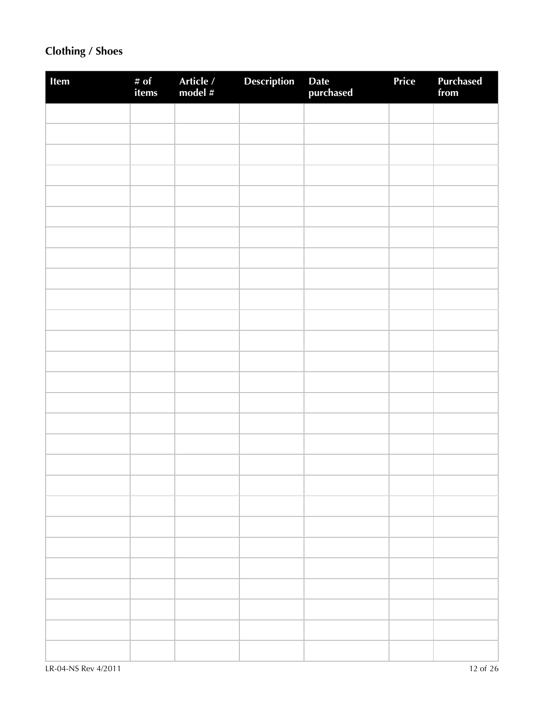# **Clothing / Shoes**

| Item | # of<br>items | Article /<br>model # | <b>Description</b> | Date<br>purchased | Price | Purchased<br>from |
|------|---------------|----------------------|--------------------|-------------------|-------|-------------------|
|      |               |                      |                    |                   |       |                   |
|      |               |                      |                    |                   |       |                   |
|      |               |                      |                    |                   |       |                   |
|      |               |                      |                    |                   |       |                   |
|      |               |                      |                    |                   |       |                   |
|      |               |                      |                    |                   |       |                   |
|      |               |                      |                    |                   |       |                   |
|      |               |                      |                    |                   |       |                   |
|      |               |                      |                    |                   |       |                   |
|      |               |                      |                    |                   |       |                   |
|      |               |                      |                    |                   |       |                   |
|      |               |                      |                    |                   |       |                   |
|      |               |                      |                    |                   |       |                   |
|      |               |                      |                    |                   |       |                   |
|      |               |                      |                    |                   |       |                   |
|      |               |                      |                    |                   |       |                   |
|      |               |                      |                    |                   |       |                   |
|      |               |                      |                    |                   |       |                   |
|      |               |                      |                    |                   |       |                   |
|      |               |                      |                    |                   |       |                   |
|      |               |                      |                    |                   |       |                   |
|      |               |                      |                    |                   |       |                   |
|      |               |                      |                    |                   |       |                   |
|      |               |                      |                    |                   |       |                   |
|      |               |                      |                    |                   |       |                   |
|      |               |                      |                    |                   |       |                   |
|      |               |                      |                    |                   |       |                   |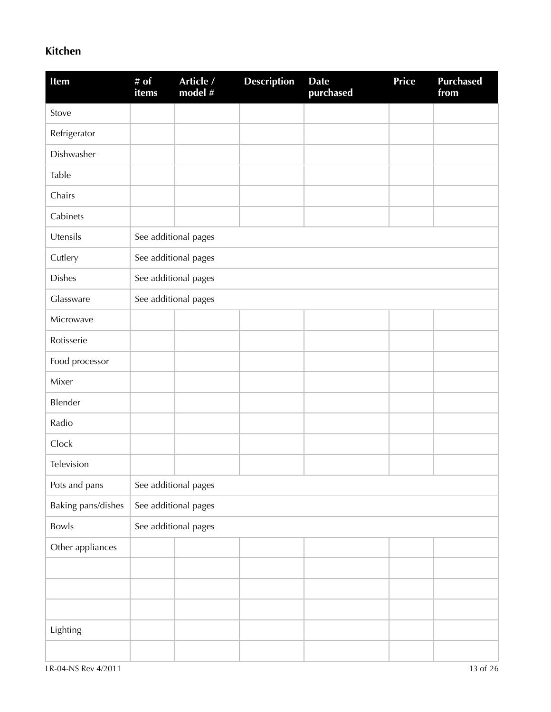### **Kitchen**

| Item               | # of<br><i>items</i> | Article /<br>model # | <b>Description</b> | <b>Date</b><br>purchased | <b>Price</b> | <b>Purchased</b><br>from |
|--------------------|----------------------|----------------------|--------------------|--------------------------|--------------|--------------------------|
| Stove              |                      |                      |                    |                          |              |                          |
| Refrigerator       |                      |                      |                    |                          |              |                          |
| Dishwasher         |                      |                      |                    |                          |              |                          |
| Table              |                      |                      |                    |                          |              |                          |
| Chairs             |                      |                      |                    |                          |              |                          |
| Cabinets           |                      |                      |                    |                          |              |                          |
| Utensils           |                      | See additional pages |                    |                          |              |                          |
| Cutlery            |                      | See additional pages |                    |                          |              |                          |
| <b>Dishes</b>      |                      | See additional pages |                    |                          |              |                          |
| Glassware          |                      | See additional pages |                    |                          |              |                          |
| Microwave          |                      |                      |                    |                          |              |                          |
| Rotisserie         |                      |                      |                    |                          |              |                          |
| Food processor     |                      |                      |                    |                          |              |                          |
| Mixer              |                      |                      |                    |                          |              |                          |
| Blender            |                      |                      |                    |                          |              |                          |
| Radio              |                      |                      |                    |                          |              |                          |
| Clock              |                      |                      |                    |                          |              |                          |
| Television         |                      |                      |                    |                          |              |                          |
| Pots and pans      |                      | See additional pages |                    |                          |              |                          |
| Baking pans/dishes |                      | See additional pages |                    |                          |              |                          |
| Bowls              |                      | See additional pages |                    |                          |              |                          |
| Other appliances   |                      |                      |                    |                          |              |                          |
|                    |                      |                      |                    |                          |              |                          |
|                    |                      |                      |                    |                          |              |                          |
|                    |                      |                      |                    |                          |              |                          |
| Lighting           |                      |                      |                    |                          |              |                          |
|                    |                      |                      |                    |                          |              |                          |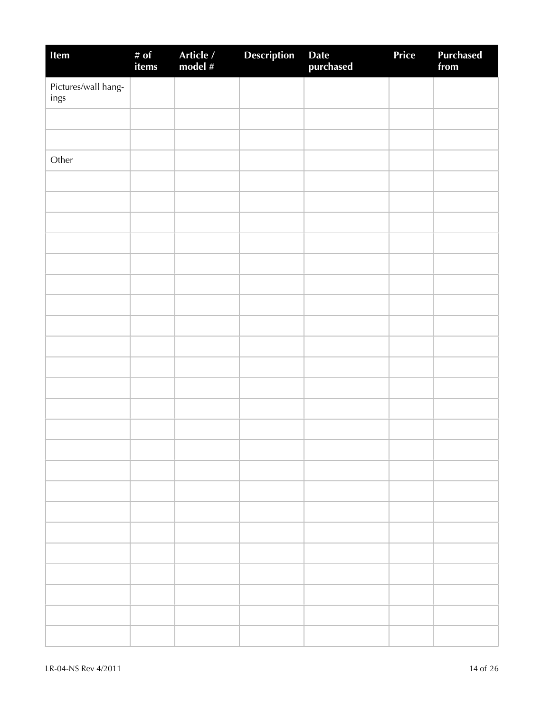| Item                        | # of<br>items | Article /<br>model # | <b>Description</b> | Date<br>purchased | Price | <b>Purchased</b><br>from |
|-----------------------------|---------------|----------------------|--------------------|-------------------|-------|--------------------------|
| Pictures/wall hang-<br>ings |               |                      |                    |                   |       |                          |
|                             |               |                      |                    |                   |       |                          |
|                             |               |                      |                    |                   |       |                          |
| Other                       |               |                      |                    |                   |       |                          |
|                             |               |                      |                    |                   |       |                          |
|                             |               |                      |                    |                   |       |                          |
|                             |               |                      |                    |                   |       |                          |
|                             |               |                      |                    |                   |       |                          |
|                             |               |                      |                    |                   |       |                          |
|                             |               |                      |                    |                   |       |                          |
|                             |               |                      |                    |                   |       |                          |
|                             |               |                      |                    |                   |       |                          |
|                             |               |                      |                    |                   |       |                          |
|                             |               |                      |                    |                   |       |                          |
|                             |               |                      |                    |                   |       |                          |
|                             |               |                      |                    |                   |       |                          |
|                             |               |                      |                    |                   |       |                          |
|                             |               |                      |                    |                   |       |                          |
|                             |               |                      |                    |                   |       |                          |
|                             |               |                      |                    |                   |       |                          |
|                             |               |                      |                    |                   |       |                          |
|                             |               |                      |                    |                   |       |                          |
|                             |               |                      |                    |                   |       |                          |
|                             |               |                      |                    |                   |       |                          |
|                             |               |                      |                    |                   |       |                          |
|                             |               |                      |                    |                   |       |                          |
|                             |               |                      |                    |                   |       |                          |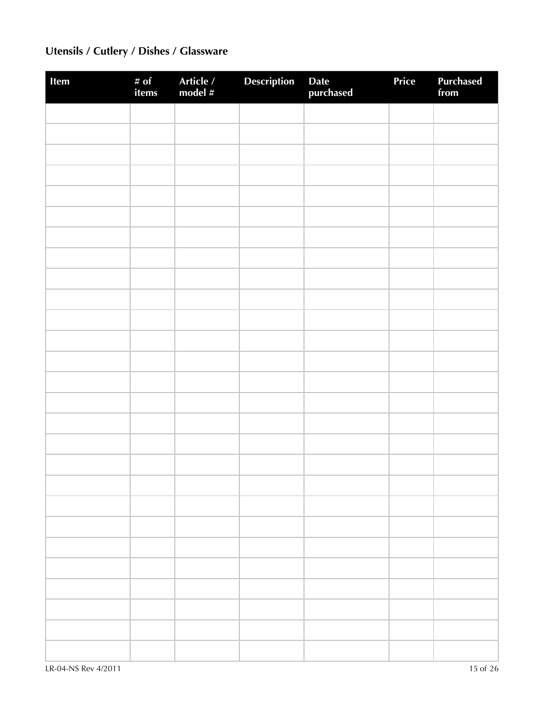# **Utensils / Cutlery / Dishes / Glassware**

| Item | # of<br>items | Article /<br>model # | Description | Date<br>purchased | Price | <b>Purchased</b><br>from |
|------|---------------|----------------------|-------------|-------------------|-------|--------------------------|
|      |               |                      |             |                   |       |                          |
|      |               |                      |             |                   |       |                          |
|      |               |                      |             |                   |       |                          |
|      |               |                      |             |                   |       |                          |
|      |               |                      |             |                   |       |                          |
|      |               |                      |             |                   |       |                          |
|      |               |                      |             |                   |       |                          |
|      |               |                      |             |                   |       |                          |
|      |               |                      |             |                   |       |                          |
|      |               |                      |             |                   |       |                          |
|      |               |                      |             |                   |       |                          |
|      |               |                      |             |                   |       |                          |
|      |               |                      |             |                   |       |                          |
|      |               |                      |             |                   |       |                          |
|      |               |                      |             |                   |       |                          |
|      |               |                      |             |                   |       |                          |
|      |               |                      |             |                   |       |                          |
|      |               |                      |             |                   |       |                          |
|      |               |                      |             |                   |       |                          |
|      |               |                      |             |                   |       |                          |
|      |               |                      |             |                   |       |                          |
|      |               |                      |             |                   |       |                          |
|      |               |                      |             |                   |       |                          |
|      |               |                      |             |                   |       |                          |
|      |               |                      |             |                   |       |                          |
|      |               |                      |             |                   |       |                          |
|      |               |                      |             |                   |       |                          |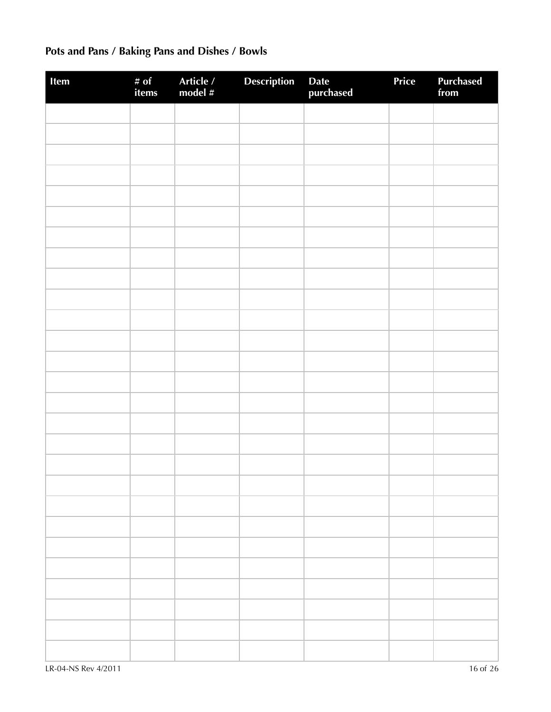# **Pots and Pans / Baking Pans and Dishes / Bowls**

| Item | # of<br>items | Article /<br>model # | <b>Description</b> | Date<br>purchased | Price | <b>Purchased</b><br>from |
|------|---------------|----------------------|--------------------|-------------------|-------|--------------------------|
|      |               |                      |                    |                   |       |                          |
|      |               |                      |                    |                   |       |                          |
|      |               |                      |                    |                   |       |                          |
|      |               |                      |                    |                   |       |                          |
|      |               |                      |                    |                   |       |                          |
|      |               |                      |                    |                   |       |                          |
|      |               |                      |                    |                   |       |                          |
|      |               |                      |                    |                   |       |                          |
|      |               |                      |                    |                   |       |                          |
|      |               |                      |                    |                   |       |                          |
|      |               |                      |                    |                   |       |                          |
|      |               |                      |                    |                   |       |                          |
|      |               |                      |                    |                   |       |                          |
|      |               |                      |                    |                   |       |                          |
|      |               |                      |                    |                   |       |                          |
|      |               |                      |                    |                   |       |                          |
|      |               |                      |                    |                   |       |                          |
|      |               |                      |                    |                   |       |                          |
|      |               |                      |                    |                   |       |                          |
|      |               |                      |                    |                   |       |                          |
|      |               |                      |                    |                   |       |                          |
|      |               |                      |                    |                   |       |                          |
|      |               |                      |                    |                   |       |                          |
|      |               |                      |                    |                   |       |                          |
|      |               |                      |                    |                   |       |                          |
|      |               |                      |                    |                   |       |                          |
|      |               |                      |                    |                   |       |                          |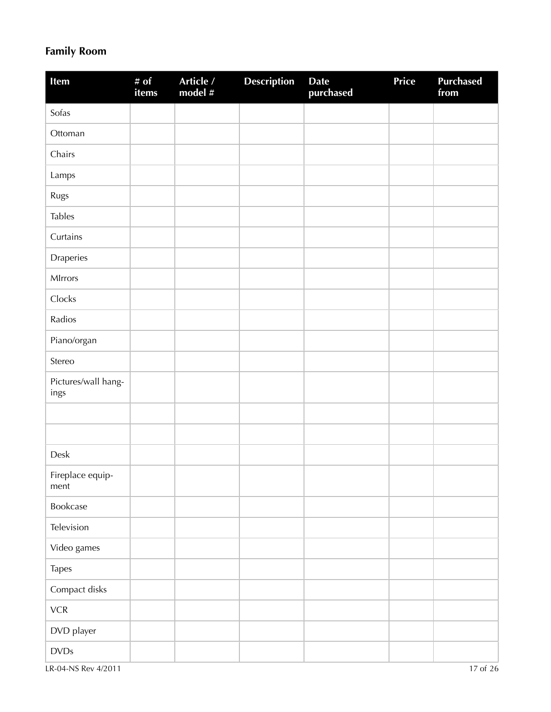## **Family Room**

| Item                        | # of<br>items | Article /<br>model # | <b>Description</b> | <b>Date</b><br>purchased | Price | <b>Purchased</b><br>from |
|-----------------------------|---------------|----------------------|--------------------|--------------------------|-------|--------------------------|
| Sofas                       |               |                      |                    |                          |       |                          |
| Ottoman                     |               |                      |                    |                          |       |                          |
| Chairs                      |               |                      |                    |                          |       |                          |
| Lamps                       |               |                      |                    |                          |       |                          |
| Rugs                        |               |                      |                    |                          |       |                          |
| <b>Tables</b>               |               |                      |                    |                          |       |                          |
| Curtains                    |               |                      |                    |                          |       |                          |
| Draperies                   |               |                      |                    |                          |       |                          |
| MIrrors                     |               |                      |                    |                          |       |                          |
| Clocks                      |               |                      |                    |                          |       |                          |
| Radios                      |               |                      |                    |                          |       |                          |
| Piano/organ                 |               |                      |                    |                          |       |                          |
| Stereo                      |               |                      |                    |                          |       |                          |
| Pictures/wall hang-<br>ings |               |                      |                    |                          |       |                          |
|                             |               |                      |                    |                          |       |                          |
|                             |               |                      |                    |                          |       |                          |
| Desk                        |               |                      |                    |                          |       |                          |
| Fireplace equip-<br>ment    |               |                      |                    |                          |       |                          |
| Bookcase                    |               |                      |                    |                          |       |                          |
| Television                  |               |                      |                    |                          |       |                          |
| Video games                 |               |                      |                    |                          |       |                          |
| <b>Tapes</b>                |               |                      |                    |                          |       |                          |
| Compact disks               |               |                      |                    |                          |       |                          |
| ${\sf VCR}$                 |               |                      |                    |                          |       |                          |
| DVD player                  |               |                      |                    |                          |       |                          |
| $\textsf{DVDs}$             |               |                      |                    |                          |       |                          |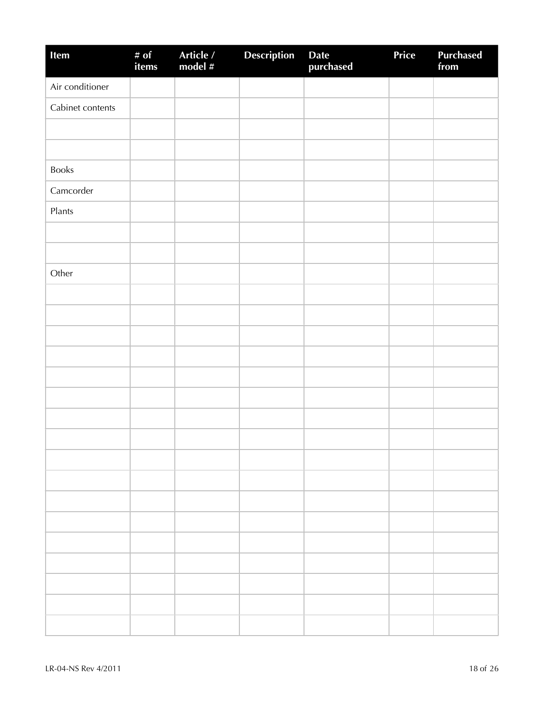| Item             | # of<br>items | Article /<br>model # | <b>Description</b> | Date<br>purchased | Price | <b>Purchased</b><br>from |
|------------------|---------------|----------------------|--------------------|-------------------|-------|--------------------------|
| Air conditioner  |               |                      |                    |                   |       |                          |
| Cabinet contents |               |                      |                    |                   |       |                          |
|                  |               |                      |                    |                   |       |                          |
|                  |               |                      |                    |                   |       |                          |
| <b>Books</b>     |               |                      |                    |                   |       |                          |
| Camcorder        |               |                      |                    |                   |       |                          |
| Plants           |               |                      |                    |                   |       |                          |
|                  |               |                      |                    |                   |       |                          |
|                  |               |                      |                    |                   |       |                          |
| Other            |               |                      |                    |                   |       |                          |
|                  |               |                      |                    |                   |       |                          |
|                  |               |                      |                    |                   |       |                          |
|                  |               |                      |                    |                   |       |                          |
|                  |               |                      |                    |                   |       |                          |
|                  |               |                      |                    |                   |       |                          |
|                  |               |                      |                    |                   |       |                          |
|                  |               |                      |                    |                   |       |                          |
|                  |               |                      |                    |                   |       |                          |
|                  |               |                      |                    |                   |       |                          |
|                  |               |                      |                    |                   |       |                          |
|                  |               |                      |                    |                   |       |                          |
|                  |               |                      |                    |                   |       |                          |
|                  |               |                      |                    |                   |       |                          |
|                  |               |                      |                    |                   |       |                          |
|                  |               |                      |                    |                   |       |                          |
|                  |               |                      |                    |                   |       |                          |
|                  |               |                      |                    |                   |       |                          |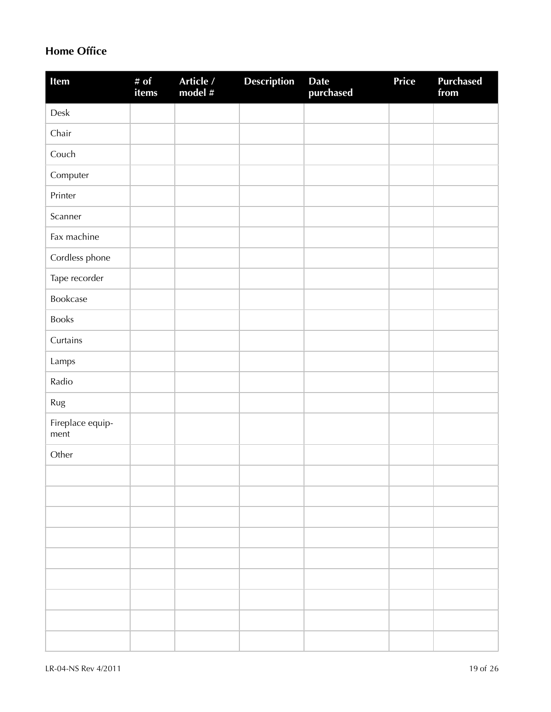### **Home Office**

| Item                     | # $of$<br>items | Article /<br>model # | <b>Description</b> | <b>Date</b><br>purchased | <b>Price</b> | <b>Purchased</b><br>from |
|--------------------------|-----------------|----------------------|--------------------|--------------------------|--------------|--------------------------|
| ${\sf Desk}$             |                 |                      |                    |                          |              |                          |
| Chair                    |                 |                      |                    |                          |              |                          |
| Couch                    |                 |                      |                    |                          |              |                          |
| Computer                 |                 |                      |                    |                          |              |                          |
| Printer                  |                 |                      |                    |                          |              |                          |
| Scanner                  |                 |                      |                    |                          |              |                          |
| Fax machine              |                 |                      |                    |                          |              |                          |
| Cordless phone           |                 |                      |                    |                          |              |                          |
| Tape recorder            |                 |                      |                    |                          |              |                          |
| Bookcase                 |                 |                      |                    |                          |              |                          |
| Books                    |                 |                      |                    |                          |              |                          |
| Curtains                 |                 |                      |                    |                          |              |                          |
| Lamps                    |                 |                      |                    |                          |              |                          |
| Radio                    |                 |                      |                    |                          |              |                          |
| Rug                      |                 |                      |                    |                          |              |                          |
| Fireplace equip-<br>ment |                 |                      |                    |                          |              |                          |
| Other                    |                 |                      |                    |                          |              |                          |
|                          |                 |                      |                    |                          |              |                          |
|                          |                 |                      |                    |                          |              |                          |
|                          |                 |                      |                    |                          |              |                          |
|                          |                 |                      |                    |                          |              |                          |
|                          |                 |                      |                    |                          |              |                          |
|                          |                 |                      |                    |                          |              |                          |
|                          |                 |                      |                    |                          |              |                          |
|                          |                 |                      |                    |                          |              |                          |
|                          |                 |                      |                    |                          |              |                          |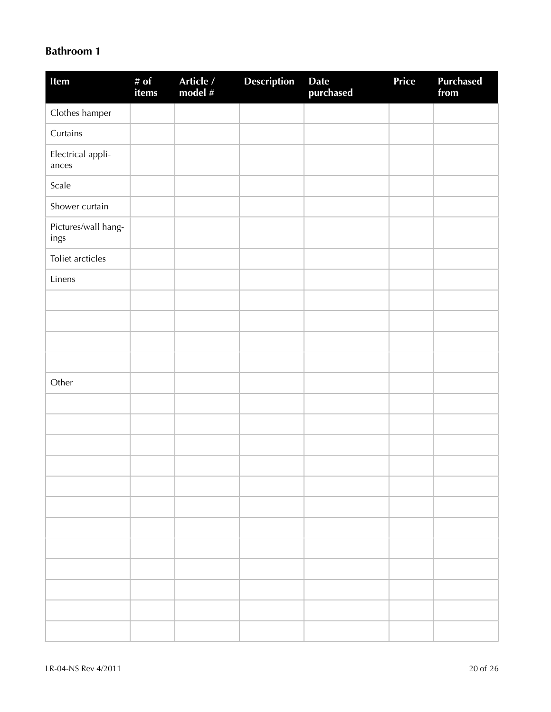#### **Bathroom 1**

| Item                        | # of<br>items | Article /<br>model # | Description | Date<br>purchased | Price | <b>Purchased</b><br>from |
|-----------------------------|---------------|----------------------|-------------|-------------------|-------|--------------------------|
| Clothes hamper              |               |                      |             |                   |       |                          |
| Curtains                    |               |                      |             |                   |       |                          |
| Electrical appli-<br>ances  |               |                      |             |                   |       |                          |
| Scale                       |               |                      |             |                   |       |                          |
| Shower curtain              |               |                      |             |                   |       |                          |
| Pictures/wall hang-<br>ings |               |                      |             |                   |       |                          |
| Toliet arcticles            |               |                      |             |                   |       |                          |
| Linens                      |               |                      |             |                   |       |                          |
|                             |               |                      |             |                   |       |                          |
|                             |               |                      |             |                   |       |                          |
|                             |               |                      |             |                   |       |                          |
|                             |               |                      |             |                   |       |                          |
| Other                       |               |                      |             |                   |       |                          |
|                             |               |                      |             |                   |       |                          |
|                             |               |                      |             |                   |       |                          |
|                             |               |                      |             |                   |       |                          |
|                             |               |                      |             |                   |       |                          |
|                             |               |                      |             |                   |       |                          |
|                             |               |                      |             |                   |       |                          |
|                             |               |                      |             |                   |       |                          |
|                             |               |                      |             |                   |       |                          |
|                             |               |                      |             |                   |       |                          |
|                             |               |                      |             |                   |       |                          |
|                             |               |                      |             |                   |       |                          |
|                             |               |                      |             |                   |       |                          |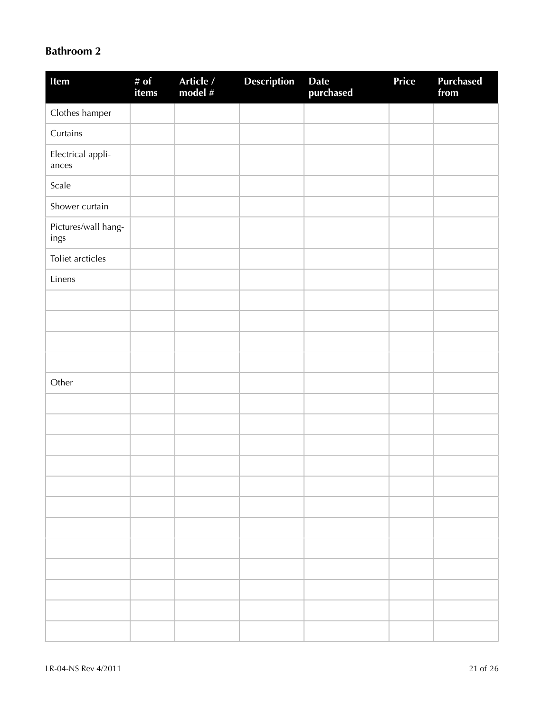### **Bathroom 2**

| Item                        | # of<br>items | Article /<br>model # | Description | Date<br>purchased | Price | <b>Purchased</b><br>from |
|-----------------------------|---------------|----------------------|-------------|-------------------|-------|--------------------------|
| Clothes hamper              |               |                      |             |                   |       |                          |
| Curtains                    |               |                      |             |                   |       |                          |
| Electrical appli-<br>ances  |               |                      |             |                   |       |                          |
| Scale                       |               |                      |             |                   |       |                          |
| Shower curtain              |               |                      |             |                   |       |                          |
| Pictures/wall hang-<br>ings |               |                      |             |                   |       |                          |
| Toliet arcticles            |               |                      |             |                   |       |                          |
| Linens                      |               |                      |             |                   |       |                          |
|                             |               |                      |             |                   |       |                          |
|                             |               |                      |             |                   |       |                          |
|                             |               |                      |             |                   |       |                          |
|                             |               |                      |             |                   |       |                          |
| Other                       |               |                      |             |                   |       |                          |
|                             |               |                      |             |                   |       |                          |
|                             |               |                      |             |                   |       |                          |
|                             |               |                      |             |                   |       |                          |
|                             |               |                      |             |                   |       |                          |
|                             |               |                      |             |                   |       |                          |
|                             |               |                      |             |                   |       |                          |
|                             |               |                      |             |                   |       |                          |
|                             |               |                      |             |                   |       |                          |
|                             |               |                      |             |                   |       |                          |
|                             |               |                      |             |                   |       |                          |
|                             |               |                      |             |                   |       |                          |
|                             |               |                      |             |                   |       |                          |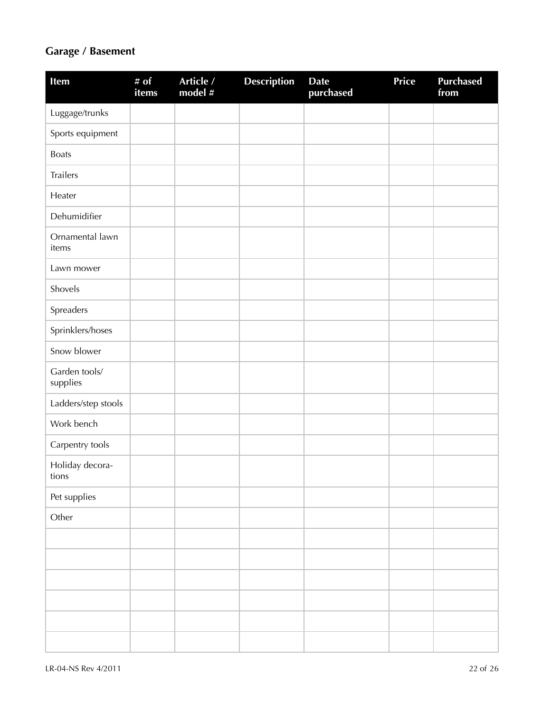## **Garage / Basement**

| Item                      | # $\overline{of}$<br>items | Article /<br>model # | <b>Description</b> | <b>Date</b><br>purchased | Price | <b>Purchased</b><br>from |
|---------------------------|----------------------------|----------------------|--------------------|--------------------------|-------|--------------------------|
| Luggage/trunks            |                            |                      |                    |                          |       |                          |
| Sports equipment          |                            |                      |                    |                          |       |                          |
| <b>Boats</b>              |                            |                      |                    |                          |       |                          |
| Trailers                  |                            |                      |                    |                          |       |                          |
| Heater                    |                            |                      |                    |                          |       |                          |
| Dehumidifier              |                            |                      |                    |                          |       |                          |
| Ornamental lawn<br>items  |                            |                      |                    |                          |       |                          |
| Lawn mower                |                            |                      |                    |                          |       |                          |
| Shovels                   |                            |                      |                    |                          |       |                          |
| Spreaders                 |                            |                      |                    |                          |       |                          |
| Sprinklers/hoses          |                            |                      |                    |                          |       |                          |
| Snow blower               |                            |                      |                    |                          |       |                          |
| Garden tools/<br>supplies |                            |                      |                    |                          |       |                          |
| Ladders/step stools       |                            |                      |                    |                          |       |                          |
| Work bench                |                            |                      |                    |                          |       |                          |
| Carpentry tools           |                            |                      |                    |                          |       |                          |
| Holiday decora-<br>tions  |                            |                      |                    |                          |       |                          |
| Pet supplies              |                            |                      |                    |                          |       |                          |
| Other                     |                            |                      |                    |                          |       |                          |
|                           |                            |                      |                    |                          |       |                          |
|                           |                            |                      |                    |                          |       |                          |
|                           |                            |                      |                    |                          |       |                          |
|                           |                            |                      |                    |                          |       |                          |
|                           |                            |                      |                    |                          |       |                          |
|                           |                            |                      |                    |                          |       |                          |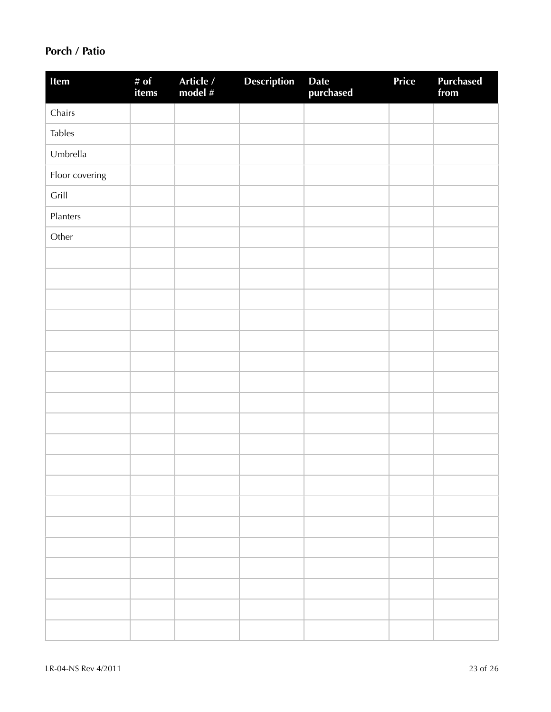### **Porch / Patio**

| Item           | # of<br>items | Article /<br>model # | <b>Description</b> | Date<br>purchased | Price | <b>Purchased</b><br>from |
|----------------|---------------|----------------------|--------------------|-------------------|-------|--------------------------|
| Chairs         |               |                      |                    |                   |       |                          |
| <b>Tables</b>  |               |                      |                    |                   |       |                          |
| Umbrella       |               |                      |                    |                   |       |                          |
| Floor covering |               |                      |                    |                   |       |                          |
| Grill          |               |                      |                    |                   |       |                          |
| Planters       |               |                      |                    |                   |       |                          |
| Other          |               |                      |                    |                   |       |                          |
|                |               |                      |                    |                   |       |                          |
|                |               |                      |                    |                   |       |                          |
|                |               |                      |                    |                   |       |                          |
|                |               |                      |                    |                   |       |                          |
|                |               |                      |                    |                   |       |                          |
|                |               |                      |                    |                   |       |                          |
|                |               |                      |                    |                   |       |                          |
|                |               |                      |                    |                   |       |                          |
|                |               |                      |                    |                   |       |                          |
|                |               |                      |                    |                   |       |                          |
|                |               |                      |                    |                   |       |                          |
|                |               |                      |                    |                   |       |                          |
|                |               |                      |                    |                   |       |                          |
|                |               |                      |                    |                   |       |                          |
|                |               |                      |                    |                   |       |                          |
|                |               |                      |                    |                   |       |                          |
|                |               |                      |                    |                   |       |                          |
|                |               |                      |                    |                   |       |                          |
|                |               |                      |                    |                   |       |                          |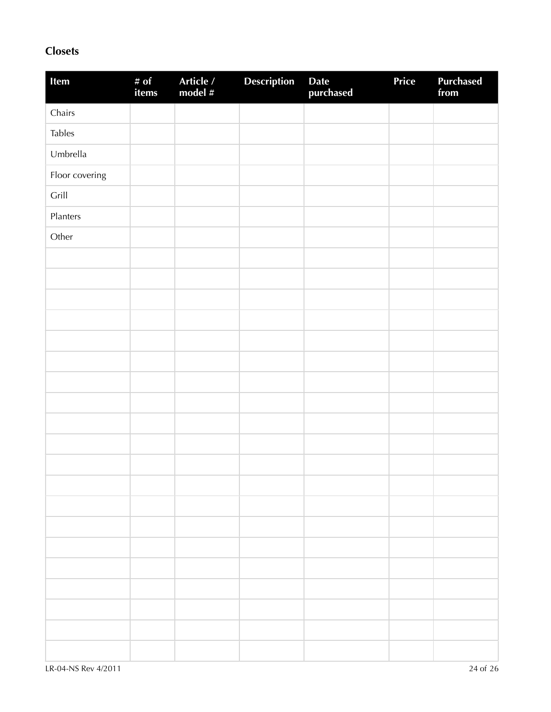### **Closets**

| Item           | # of<br>items | Article /<br>model # | <b>Description</b> | Date<br>purchased | Price | Purchased<br>from |
|----------------|---------------|----------------------|--------------------|-------------------|-------|-------------------|
| Chairs         |               |                      |                    |                   |       |                   |
| <b>Tables</b>  |               |                      |                    |                   |       |                   |
| Umbrella       |               |                      |                    |                   |       |                   |
| Floor covering |               |                      |                    |                   |       |                   |
| Grill          |               |                      |                    |                   |       |                   |
| Planters       |               |                      |                    |                   |       |                   |
| Other          |               |                      |                    |                   |       |                   |
|                |               |                      |                    |                   |       |                   |
|                |               |                      |                    |                   |       |                   |
|                |               |                      |                    |                   |       |                   |
|                |               |                      |                    |                   |       |                   |
|                |               |                      |                    |                   |       |                   |
|                |               |                      |                    |                   |       |                   |
|                |               |                      |                    |                   |       |                   |
|                |               |                      |                    |                   |       |                   |
|                |               |                      |                    |                   |       |                   |
|                |               |                      |                    |                   |       |                   |
|                |               |                      |                    |                   |       |                   |
|                |               |                      |                    |                   |       |                   |
|                |               |                      |                    |                   |       |                   |
|                |               |                      |                    |                   |       |                   |
|                |               |                      |                    |                   |       |                   |
|                |               |                      |                    |                   |       |                   |
|                |               |                      |                    |                   |       |                   |
|                |               |                      |                    |                   |       |                   |
|                |               |                      |                    |                   |       |                   |
|                |               |                      |                    |                   |       |                   |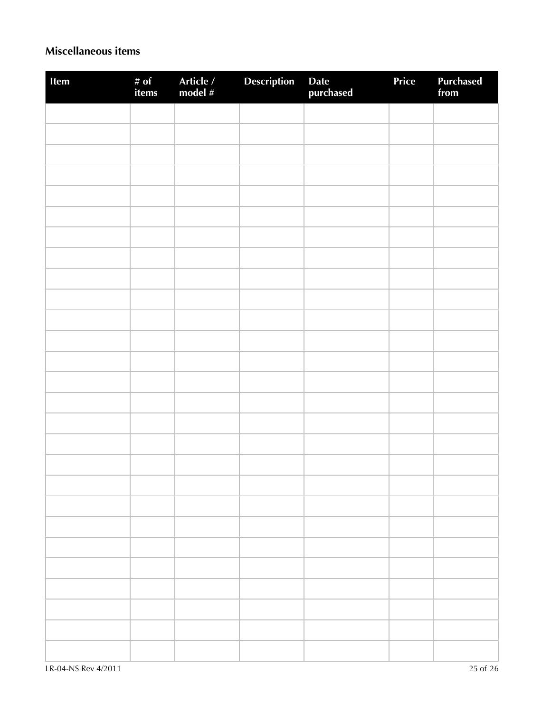### **Miscellaneous items**

| Item | # of<br>items | Article /<br>model # | Description | Date<br>purchased | Price | Purchased<br>from |
|------|---------------|----------------------|-------------|-------------------|-------|-------------------|
|      |               |                      |             |                   |       |                   |
|      |               |                      |             |                   |       |                   |
|      |               |                      |             |                   |       |                   |
|      |               |                      |             |                   |       |                   |
|      |               |                      |             |                   |       |                   |
|      |               |                      |             |                   |       |                   |
|      |               |                      |             |                   |       |                   |
|      |               |                      |             |                   |       |                   |
|      |               |                      |             |                   |       |                   |
|      |               |                      |             |                   |       |                   |
|      |               |                      |             |                   |       |                   |
|      |               |                      |             |                   |       |                   |
|      |               |                      |             |                   |       |                   |
|      |               |                      |             |                   |       |                   |
|      |               |                      |             |                   |       |                   |
|      |               |                      |             |                   |       |                   |
|      |               |                      |             |                   |       |                   |
|      |               |                      |             |                   |       |                   |
|      |               |                      |             |                   |       |                   |
|      |               |                      |             |                   |       |                   |
|      |               |                      |             |                   |       |                   |
|      |               |                      |             |                   |       |                   |
|      |               |                      |             |                   |       |                   |
|      |               |                      |             |                   |       |                   |
|      |               |                      |             |                   |       |                   |
|      |               |                      |             |                   |       |                   |
|      |               |                      |             |                   |       |                   |